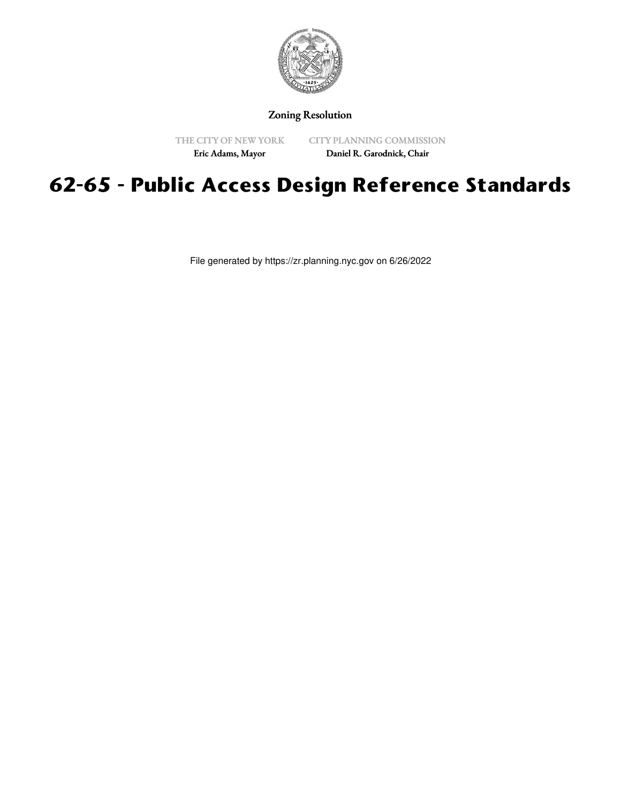

# Zoning Resolution

THE CITY OF NEW YORK Eric Adams, Mayor

CITY PLANNING COMMISSION Daniel R. Garodnick, Chair

# **62-65 - Public Access Design Reference Standards**

File generated by https://zr.planning.nyc.gov on 6/26/2022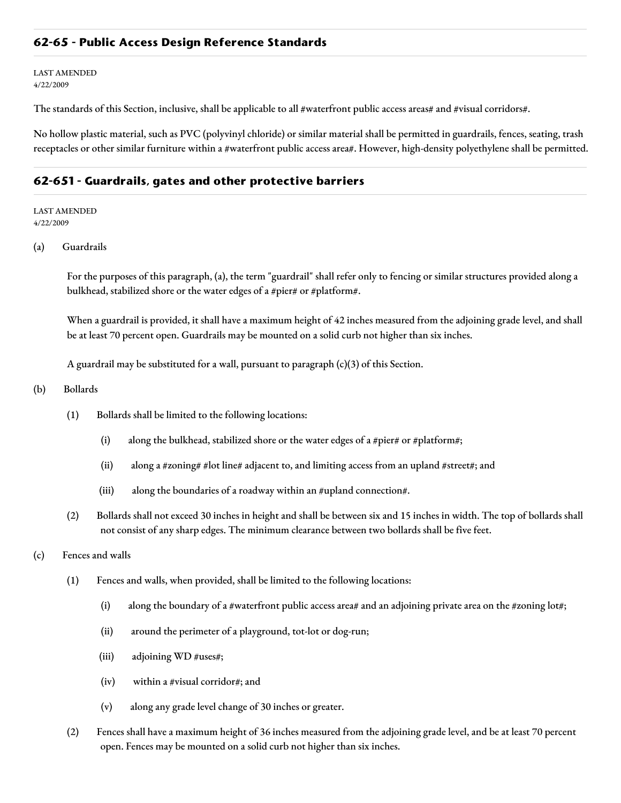## **62-65 - Public Access Design Reference Standards**

LAST AMENDED 4/22/2009

The standards of this Section, inclusive, shall be applicable to all #waterfront public access areas# and #visual corridors#.

No hollow plastic material, such as PVC (polyvinyl chloride) or similar material shall be permitted in guardrails, fences, seating, trash receptacles or other similar furniture within a #waterfront public access area#. However, high-density polyethylene shall be permitted.

#### **62-651 - Guardrails, gates and other protective barriers**

LAST AMENDED 4/22/2009

(a) Guardrails

For the purposes of this paragraph, (a), the term "guardrail" shall refer only to fencing or similar structures provided along a bulkhead, stabilized shore or the water edges of a #pier# or #platform#.

When a guardrail is provided, it shall have a maximum height of 42 inches measured from the adjoining grade level, and shall be at least 70 percent open. Guardrails may be mounted on a solid curb not higher than six inches.

A guardrail may be substituted for a wall, pursuant to paragraph  $(c)(3)$  of this Section.

- (b) Bollards
	- (1) Bollards shall be limited to the following locations:
		- (i) along the bulkhead, stabilized shore or the water edges of a #pier# or #platform#;
		- (ii) along a #zoning# #lot line# adjacent to, and limiting access from an upland #street#; and
		- (iii) along the boundaries of a roadway within an #upland connection#.
	- (2) Bollards shall not exceed 30 inches in height and shall be between six and 15 inches in width. The top of bollards shall not consist of any sharp edges. The minimum clearance between two bollards shall be five feet.
- (c) Fences and walls
	- (1) Fences and walls, when provided, shall be limited to the following locations:
		- (i) along the boundary of a #waterfront public access area# and an adjoining private area on the #zoning lot#;
		- (ii) around the perimeter of a playground, tot-lot or dog-run;
		- (iii) adjoining WD #uses#;
		- (iv) within a #visual corridor#; and
		- (v) along any grade level change of 30 inches or greater.
	- (2) Fences shall have a maximum height of 36 inches measured from the adjoining grade level, and be at least 70 percent open. Fences may be mounted on a solid curb not higher than six inches.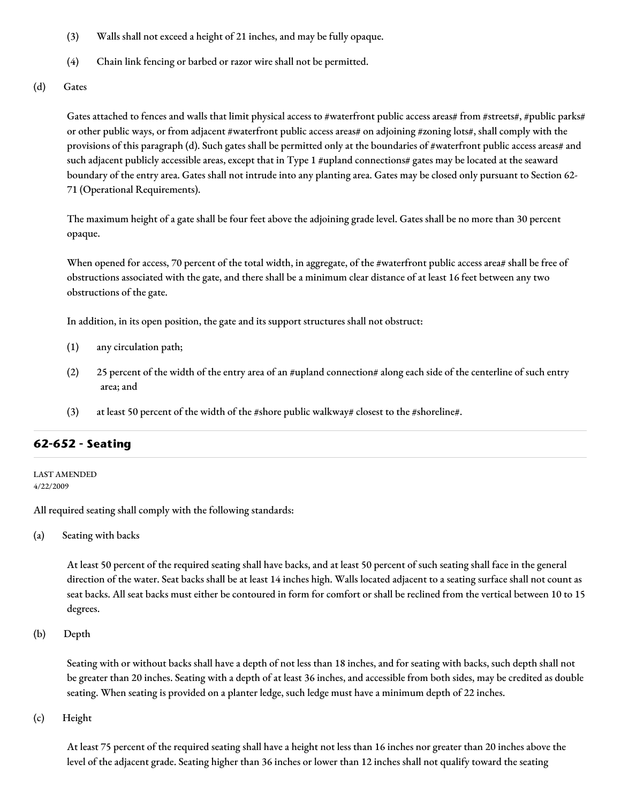- (3) Walls shall not exceed a height of 21 inches, and may be fully opaque.
- (4) Chain link fencing or barbed or razor wire shall not be permitted.
- (d) Gates

Gates attached to fences and walls that limit physical access to #waterfront public access areas# from #streets#, #public parks# or other public ways, or from adjacent #waterfront public access areas# on adjoining #zoning lots#, shall comply with the provisions of this paragraph (d). Such gates shall be permitted only at the boundaries of #waterfront public access areas# and such adjacent publicly accessible areas, except that in Type 1 #upland connections# gates may be located at the seaward boundary of the entry area. Gates shall not intrude into any planting area. Gates may be closed only pursuant to Section 62- 71 (Operational Requirements).

The maximum height of a gate shall be four feet above the adjoining grade level. Gates shall be no more than 30 percent opaque.

When opened for access, 70 percent of the total width, in aggregate, of the #waterfront public access area# shall be free of obstructions associated with the gate, and there shall be a minimum clear distance of at least 16 feet between any two obstructions of the gate.

In addition, in its open position, the gate and its support structures shall not obstruct:

- (1) any circulation path;
- (2) 25 percent of the width of the entry area of an #upland connection# along each side of the centerline of such entry area; and
- (3) at least 50 percent of the width of the #shore public walkway# closest to the #shoreline#.

# **62-652 - Seating**

LAST AMENDED 4/22/2009

All required seating shall comply with the following standards:

(a) Seating with backs

At least 50 percent of the required seating shall have backs, and at least 50 percent of such seating shall face in the general direction of the water. Seat backs shall be at least 14 inches high. Walls located adjacent to a seating surface shall not count as seat backs. All seat backs must either be contoured in form for comfort or shall be reclined from the vertical between 10 to 15 degrees.

(b) Depth

Seating with or without backs shall have a depth of not less than 18 inches, and for seating with backs, such depth shall not be greater than 20 inches. Seating with a depth of at least 36 inches, and accessible from both sides, may be credited as double seating. When seating is provided on a planter ledge, such ledge must have a minimum depth of 22 inches.

(c) Height

At least 75 percent of the required seating shall have a height not less than 16 inches nor greater than 20 inches above the level of the adjacent grade. Seating higher than 36 inches or lower than 12 inches shall not qualify toward the seating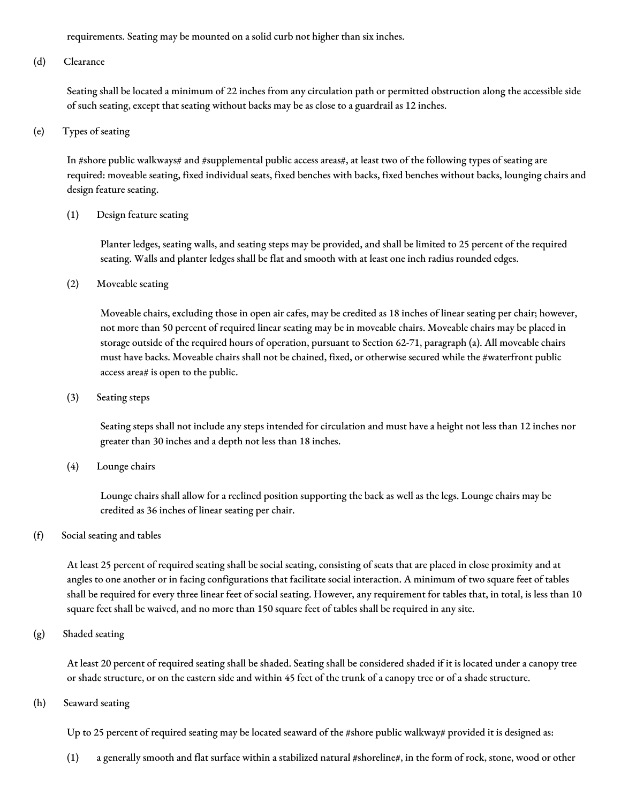requirements. Seating may be mounted on a solid curb not higher than six inches.

(d) Clearance

Seating shall be located a minimum of 22 inches from any circulation path or permitted obstruction along the accessible side of such seating, except that seating without backs may be as close to a guardrail as 12 inches.

(e) Types of seating

In #shore public walkways# and #supplemental public access areas#, at least two of the following types of seating are required: moveable seating, fixed individual seats, fixed benches with backs, fixed benches without backs, lounging chairs and design feature seating.

(1) Design feature seating

Planter ledges, seating walls, and seating steps may be provided, and shall be limited to 25 percent of the required seating. Walls and planter ledges shall be flat and smooth with at least one inch radius rounded edges.

(2) Moveable seating

Moveable chairs, excluding those in open air cafes, may be credited as 18 inches of linear seating per chair; however, not more than 50 percent of required linear seating may be in moveable chairs. Moveable chairs may be placed in storage outside of the required hours of operation, pursuant to Section 62-71, paragraph (a). All moveable chairs must have backs. Moveable chairs shall not be chained, fixed, or otherwise secured while the #waterfront public access area# is open to the public.

(3) Seating steps

Seating steps shall not include any steps intended for circulation and must have a height not less than 12 inches nor greater than 30 inches and a depth not less than 18 inches.

(4) Lounge chairs

Lounge chairs shall allow for a reclined position supporting the back as well as the legs. Lounge chairs may be credited as 36 inches of linear seating per chair.

(f) Social seating and tables

At least 25 percent of required seating shall be social seating, consisting of seats that are placed in close proximity and at angles to one another or in facing configurations that facilitate social interaction. A minimum of two square feet of tables shall be required for every three linear feet of social seating. However, any requirement for tables that, in total, is less than 10 square feet shall be waived, and no more than 150 square feet of tables shall be required in any site.

(g) Shaded seating

At least 20 percent of required seating shall be shaded. Seating shall be considered shaded if it is located under a canopy tree or shade structure, or on the eastern side and within 45 feet of the trunk of a canopy tree or of a shade structure.

(h) Seaward seating

Up to 25 percent of required seating may be located seaward of the #shore public walkway# provided it is designed as:

(1) a generally smooth and flat surface within a stabilized natural #shoreline#, in the form of rock, stone, wood or other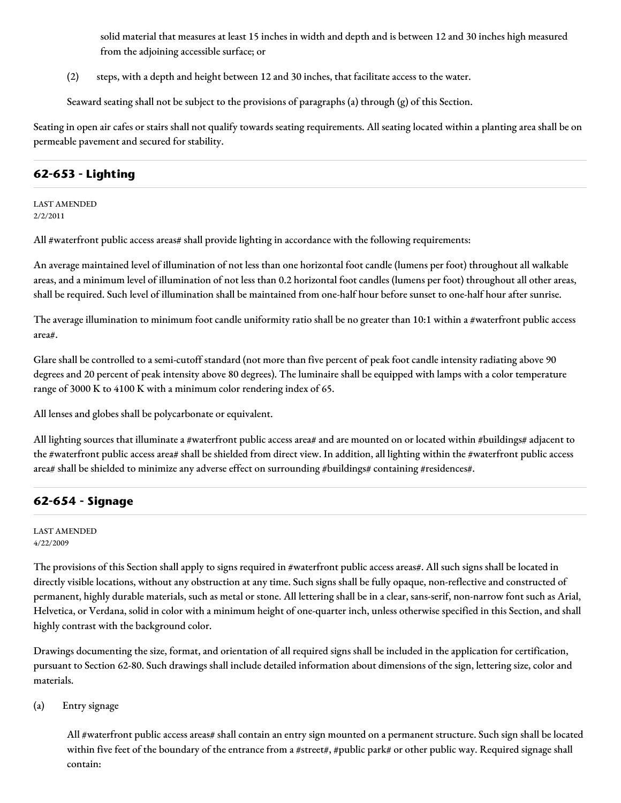solid material that measures at least 15 inches in width and depth and is between 12 and 30 inches high measured from the adjoining accessible surface; or

(2) steps, with a depth and height between 12 and 30 inches, that facilitate access to the water.

Seaward seating shall not be subject to the provisions of paragraphs (a) through (g) of this Section.

Seating in open air cafes or stairs shall not qualify towards seating requirements. All seating located within a planting area shall be on permeable pavement and secured for stability.

# **62-653 - Lighting**

LAST AMENDED 2/2/2011

All #waterfront public access areas# shall provide lighting in accordance with the following requirements:

An average maintained level of illumination of not less than one horizontal foot candle (lumens per foot) throughout all walkable areas, and a minimum level of illumination of not less than 0.2 horizontal foot candles (lumens per foot) throughout all other areas, shall be required. Such level of illumination shall be maintained from one-half hour before sunset to one-half hour after sunrise.

The average illumination to minimum foot candle uniformity ratio shall be no greater than  $10:1$  within a #waterfront public access area#.

Glare shall be controlled to a semi-cutoff standard (not more than five percent of peak foot candle intensity radiating above 90 degrees and 20 percent of peak intensity above 80 degrees). The luminaire shall be equipped with lamps with a color temperature range of 3000 K to 4100 K with a minimum color rendering index of 65.

All lenses and globes shall be polycarbonate or equivalent.

All lighting sources that illuminate a #waterfront public access area# and are mounted on or located within #buildings# adjacent to the #waterfront public access area# shall be shielded from direct view. In addition, all lighting within the #waterfront public access area# shall be shielded to minimize any adverse effect on surrounding #buildings# containing #residences#.

## **62-654 - Signage**

LAST AMENDED 4/22/2009

The provisions of this Section shall apply to signs required in #waterfront public access areas#. All such signs shall be located in directly visible locations, without any obstruction at any time. Such signs shall be fully opaque, non-reflective and constructed of permanent, highly durable materials, such as metal or stone. All lettering shall be in a clear, sans-serif, non-narrow font such as Arial, Helvetica, or Verdana, solid in color with a minimum height of one-quarter inch, unless otherwise specified in this Section, and shall highly contrast with the background color.

Drawings documenting the size, format, and orientation of all required signs shall be included in the application for certification, pursuant to Section 62-80. Such drawings shall include detailed information about dimensions of the sign, lettering size, color and materials.

(a) Entry signage

All #waterfront public access areas# shall contain an entry sign mounted on a permanent structure. Such sign shall be located within five feet of the boundary of the entrance from a #street#, #public park# or other public way. Required signage shall contain: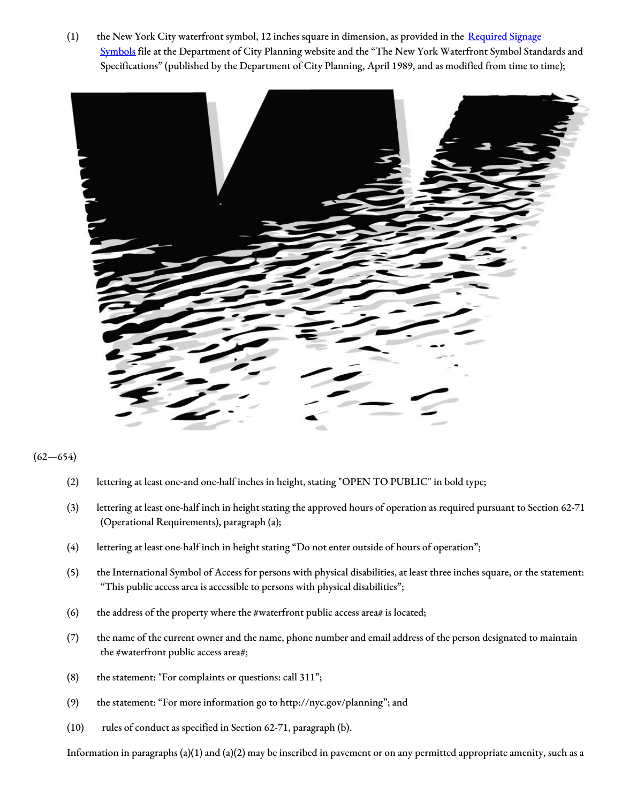(1) the New York City waterfront symbol, 12 inches square in dimension, as provided in the Required Signage Symbols file at the [Department](http://www1.nyc.gov/site/planning/zoning/graphic-files.page) of City Planning website and the "The New York Waterfront Symbol Standards and Specifications" (published by the Department of City Planning, April 1989, and as modified from time to time);



#### $(62 - 654)$

- (2) lettering at least one-and one-half inches in height, stating "OPEN TO PUBLIC" in bold type;
- (3) lettering at least one-half inch in height stating the approved hours of operation as required pursuant to Section 62-71 (Operational Requirements), paragraph (a);
- (4) lettering at least one-half inch in height stating "Do not enter outside of hours of operation";
- (5) the International Symbol of Access for persons with physical disabilities, at least three inches square, or the statement: "This public access area is accessible to persons with physical disabilities";
- (6) the address of the property where the #waterfront public access area# is located;
- (7) the name of the current owner and the name, phone number and email address of the person designated to maintain the #waterfront public access area#;
- (8) the statement: "For complaints or questions: call 311";
- (9) the statement: "For more information go to http://nyc.gov/planning"; and
- (10) rules of conduct as specified in Section 62-71, paragraph (b).

Information in paragraphs  $(a)(1)$  and  $(a)(2)$  may be inscribed in pavement or on any permitted appropriate amenity, such as a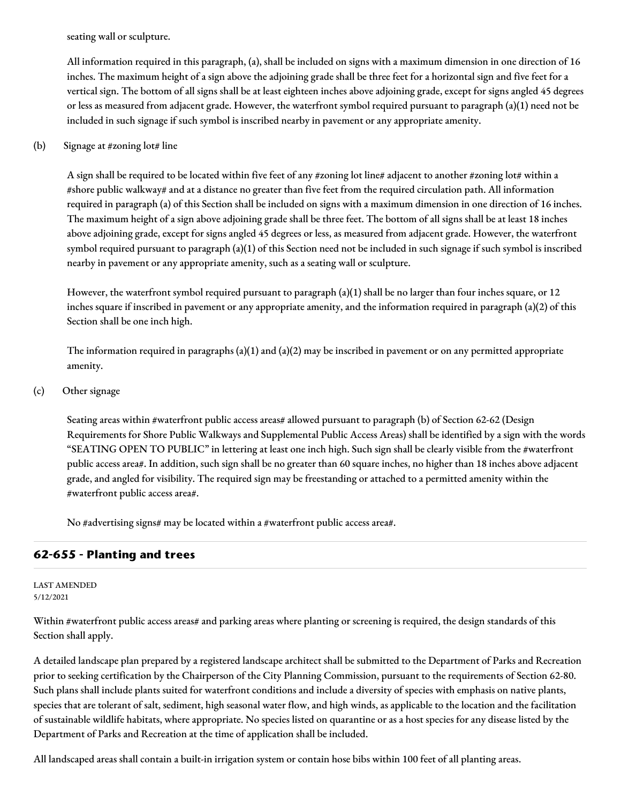seating wall or sculpture.

All information required in this paragraph, (a), shall be included on signs with a maximum dimension in one direction of 16 inches. The maximum height of a sign above the adjoining grade shall be three feet for a horizontal sign and five feet for a vertical sign. The bottom of all signs shall be at least eighteen inches above adjoining grade, except for signs angled 45 degrees or less as measured from adjacent grade. However, the waterfront symbol required pursuant to paragraph (a)(1) need not be included in such signage if such symbol is inscribed nearby in pavement or any appropriate amenity.

## (b) Signage at #zoning lot# line

A sign shall be required to be located within five feet of any #zoning lot line# adjacent to another #zoning lot# within a #shore public walkway# and at a distance no greater than five feet from the required circulation path. All information required in paragraph (a) of this Section shall be included on signs with a maximum dimension in one direction of 16 inches. The maximum height of a sign above adjoining grade shall be three feet. The bottom of all signs shall be at least 18 inches above adjoining grade, except for signs angled 45 degrees or less, as measured from adjacent grade. However, the waterfront symbol required pursuant to paragraph (a)(1) of this Section need not be included in such signage if such symbol is inscribed nearby in pavement or any appropriate amenity, such as a seating wall or sculpture.

However, the waterfront symbol required pursuant to paragraph (a)(1) shall be no larger than four inches square, or 12 inches square if inscribed in pavement or any appropriate amenity, and the information required in paragraph (a)(2) of this Section shall be one inch high.

The information required in paragraphs (a)(1) and (a)(2) may be inscribed in pavement or on any permitted appropriate amenity.

#### (c) Other signage

Seating areas within #waterfront public access areas# allowed pursuant to paragraph (b) of Section 62-62 (Design Requirements for Shore Public Walkways and Supplemental Public Access Areas) shall be identified by a sign with the words "SEATING OPEN TO PUBLIC" in lettering at least one inch high. Such sign shall be clearly visible from the #waterfront public access area#. In addition, such sign shall be no greater than 60 square inches, no higher than 18 inches above adjacent grade, and angled for visibility. The required sign may be freestanding or attached to a permitted amenity within the #waterfront public access area#.

No #advertising signs# may be located within a #waterfront public access area#.

## **62-655 - Planting and trees**

#### LAST AMENDED 5/12/2021

Within #waterfront public access areas# and parking areas where planting or screening is required, the design standards of this Section shall apply.

A detailed landscape plan prepared by a registered landscape architect shall be submitted to the Department of Parks and Recreation prior to seeking certification by the Chairperson of the City Planning Commission, pursuant to the requirements of Section 62-80. Such plans shall include plants suited for waterfront conditions and include a diversity of species with emphasis on native plants, species that are tolerant of salt, sediment, high seasonal water flow, and high winds, as applicable to the location and the facilitation of sustainable wildlife habitats, where appropriate. No species listed on quarantine or as a host species for any disease listed by the Department of Parks and Recreation at the time of application shall be included.

All landscaped areas shall contain a built-in irrigation system or contain hose bibs within 100 feet of all planting areas.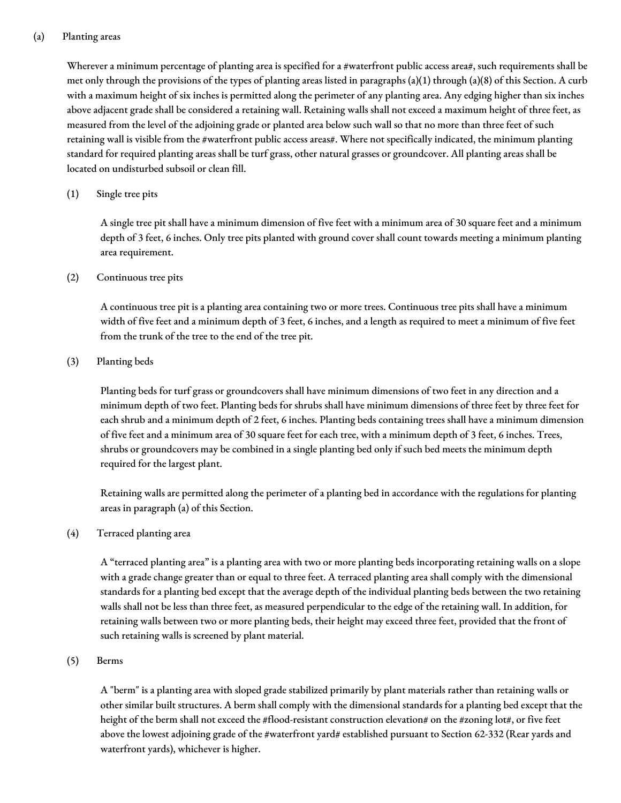## (a) Planting areas

Wherever a minimum percentage of planting area is specified for a #waterfront public access area#, such requirements shall be met only through the provisions of the types of planting areas listed in paragraphs (a)(1) through (a)(8) of this Section. A curb with a maximum height of six inches is permitted along the perimeter of any planting area. Any edging higher than six inches above adjacent grade shall be considered a retaining wall. Retaining walls shall not exceed a maximum height of three feet, as measured from the level of the adjoining grade or planted area below such wall so that no more than three feet of such retaining wall is visible from the #waterfront public access areas#. Where not specifically indicated, the minimum planting standard for required planting areas shall be turf grass, other natural grasses or groundcover. All planting areas shall be located on undisturbed subsoil or clean fill.

## (1) Single tree pits

A single tree pit shall have a minimum dimension of five feet with a minimum area of 30 square feet and a minimum depth of 3 feet, 6 inches. Only tree pits planted with ground cover shall count towards meeting a minimum planting area requirement.

#### (2) Continuous tree pits

A continuous tree pit is a planting area containing two or more trees. Continuous tree pits shall have a minimum width of five feet and a minimum depth of 3 feet, 6 inches, and a length as required to meet a minimum of five feet from the trunk of the tree to the end of the tree pit.

#### (3) Planting beds

Planting beds for turf grass or groundcovers shall have minimum dimensions of two feet in any direction and a minimum depth of two feet. Planting beds for shrubs shall have minimum dimensions of three feet by three feet for each shrub and a minimum depth of 2 feet, 6 inches. Planting beds containing trees shall have a minimum dimension of five feet and a minimum area of 30 square feet for each tree, with a minimum depth of 3 feet, 6 inches. Trees, shrubs or groundcovers may be combined in a single planting bed only if such bed meets the minimum depth required for the largest plant.

Retaining walls are permitted along the perimeter of a planting bed in accordance with the regulations for planting areas in paragraph (a) of this Section.

## (4) Terraced planting area

A "terraced planting area" is a planting area with two or more planting beds incorporating retaining walls on a slope with a grade change greater than or equal to three feet. A terraced planting area shall comply with the dimensional standards for a planting bed except that the average depth of the individual planting beds between the two retaining walls shall not be less than three feet, as measured perpendicular to the edge of the retaining wall. In addition, for retaining walls between two or more planting beds, their height may exceed three feet, provided that the front of such retaining walls is screened by plant material.

#### (5) Berms

A "berm" is a planting area with sloped grade stabilized primarily by plant materials rather than retaining walls or other similar built structures. A berm shall comply with the dimensional standards for a planting bed except that the height of the berm shall not exceed the #flood-resistant construction elevation# on the #zoning lot#, or five feet above the lowest adjoining grade of the #waterfront yard# established pursuant to Section 62-332 (Rear yards and waterfront yards), whichever is higher.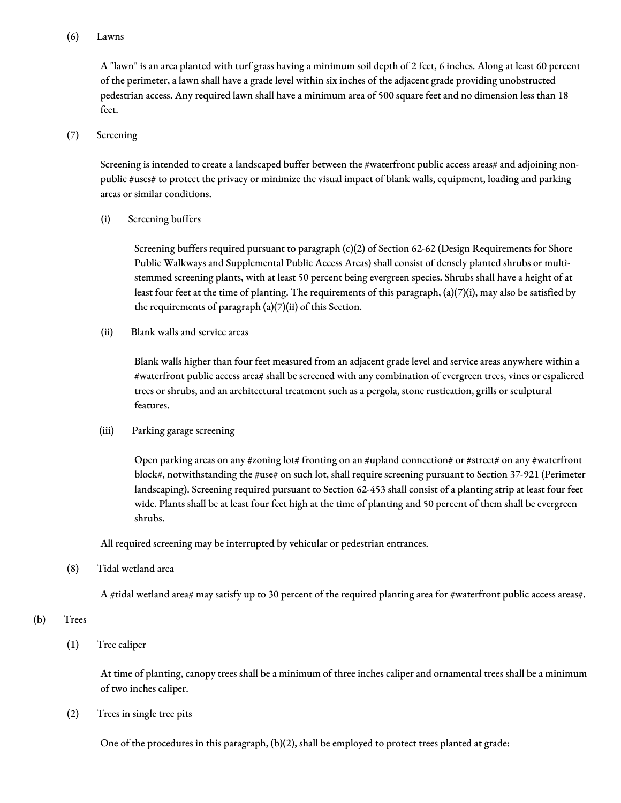## (6) Lawns

A "lawn" is an area planted with turf grass having a minimum soil depth of 2 feet, 6 inches. Along at least 60 percent of the perimeter, a lawn shall have a grade level within six inches of the adjacent grade providing unobstructed pedestrian access. Any required lawn shall have a minimum area of 500 square feet and no dimension less than 18 feet.

## (7) Screening

Screening is intended to create a landscaped buffer between the #waterfront public access areas# and adjoining nonpublic #uses# to protect the privacy or minimize the visual impact of blank walls, equipment, loading and parking areas or similar conditions.

(i) Screening buffers

Screening buffers required pursuant to paragraph (c)(2) of Section 62-62 (Design Requirements for Shore Public Walkways and Supplemental Public Access Areas) shall consist of densely planted shrubs or multistemmed screening plants, with at least 50 percent being evergreen species. Shrubs shall have a height of at least four feet at the time of planting. The requirements of this paragraph, (a)(7)(i), may also be satisfied by the requirements of paragraph (a)(7)(ii) of this Section.

(ii) Blank walls and service areas

Blank walls higher than four feet measured from an adjacent grade level and service areas anywhere within a #waterfront public access area# shall be screened with any combination of evergreen trees, vines or espaliered trees or shrubs, and an architectural treatment such as a pergola, stone rustication, grills or sculptural features.

(iii) Parking garage screening

Open parking areas on any #zoning lot# fronting on an #upland connection# or #street# on any #waterfront block#, notwithstanding the #use# on such lot, shall require screening pursuant to Section 37-921 (Perimeter landscaping). Screening required pursuant to Section 62-453 shall consist of a planting strip at least four feet wide. Plants shall be at least four feet high at the time of planting and 50 percent of them shall be evergreen shrubs.

All required screening may be interrupted by vehicular or pedestrian entrances.

(8) Tidal wetland area

A #tidal wetland area# may satisfy up to 30 percent of the required planting area for #waterfront public access areas#.

(b) Trees

(1) Tree caliper

At time of planting, canopy trees shall be a minimum of three inches caliper and ornamental trees shall be a minimum of two inches caliper.

(2) Trees in single tree pits

One of the procedures in this paragraph, (b)(2), shall be employed to protect trees planted at grade: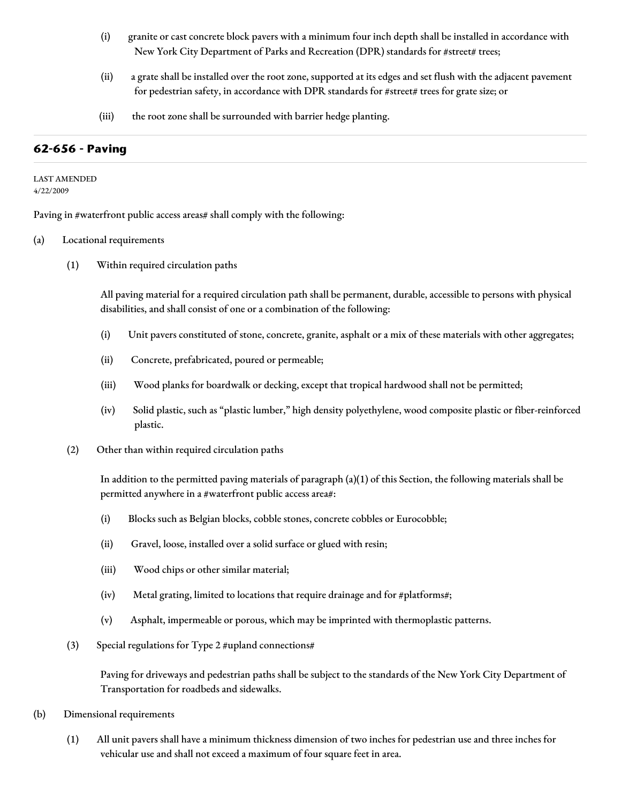- (i) granite or cast concrete block pavers with a minimum four inch depth shall be installed in accordance with New York City Department of Parks and Recreation (DPR) standards for #street# trees;
- (ii) a grate shall be installed over the root zone, supported at its edges and set flush with the adjacent pavement for pedestrian safety, in accordance with DPR standards for #street# trees for grate size; or
- (iii) the root zone shall be surrounded with barrier hedge planting.

## **62-656 - Paving**

#### LAST AMENDED 4/22/2009

Paving in #waterfront public access areas# shall comply with the following:

#### (a) Locational requirements

(1) Within required circulation paths

All paving material for a required circulation path shall be permanent, durable, accessible to persons with physical disabilities, and shall consist of one or a combination of the following:

- (i) Unit pavers constituted of stone, concrete, granite, asphalt or a mix of these materials with other aggregates;
- (ii) Concrete, prefabricated, poured or permeable;
- (iii) Wood planks for boardwalk or decking, except that tropical hardwood shall not be permitted;
- (iv) Solid plastic, such as "plastic lumber," high density polyethylene, wood composite plastic or fiber-reinforced plastic.
- (2) Other than within required circulation paths

In addition to the permitted paving materials of paragraph (a)(1) of this Section, the following materials shall be permitted anywhere in a #waterfront public access area#:

- (i) Blocks such as Belgian blocks, cobble stones, concrete cobbles or Eurocobble;
- (ii) Gravel, loose, installed over a solid surface or glued with resin;
- (iii) Wood chips or other similar material;
- (iv) Metal grating, limited to locations that require drainage and for #platforms#;
- (v) Asphalt, impermeable or porous, which may be imprinted with thermoplastic patterns.
- (3) Special regulations for Type 2 #upland connections#

Paving for driveways and pedestrian paths shall be subject to the standards of the New York City Department of Transportation for roadbeds and sidewalks.

- (b) Dimensional requirements
	- (1) All unit pavers shall have a minimum thickness dimension of two inches for pedestrian use and three inches for vehicular use and shall not exceed a maximum of four square feet in area.